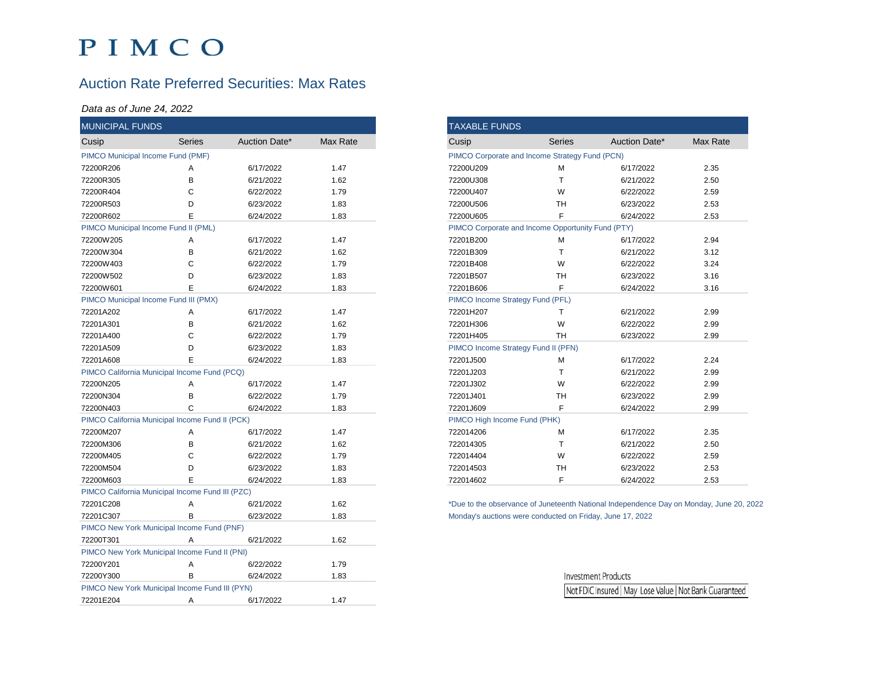## PIMCO

### Auction Rate Preferred Securities: Max Rates

#### *Data as of June 24, 2022*

| <b>MUNICIPAL FUNDS</b>                       |                                                  |               |          |
|----------------------------------------------|--------------------------------------------------|---------------|----------|
| Cusip                                        | Series                                           | Auction Date* | Max Rate |
| PIMCO Municipal Income Fund (PMF)            |                                                  |               |          |
| 72200R206                                    | A                                                | 6/17/2022     | 1.47     |
| 72200R305                                    | B                                                | 6/21/2022     | 1.62     |
| 72200R404                                    | C                                                | 6/22/2022     | 1.79     |
| 72200R503                                    | D                                                | 6/23/2022     | 1.83     |
| 72200R602                                    | E                                                | 6/24/2022     | 1.83     |
|                                              | PIMCO Municipal Income Fund II (PML)             |               |          |
| 72200W205                                    | A                                                | 6/17/2022     | 1.47     |
| 72200W304                                    | B                                                | 6/21/2022     | 1.62     |
| 72200W403                                    | С                                                | 6/22/2022     | 1.79     |
| 72200W502                                    | D                                                | 6/23/2022     | 1.83     |
| 72200W601                                    | E                                                | 6/24/2022     | 1.83     |
| PIMCO Municipal Income Fund III (PMX)        |                                                  |               |          |
| 72201A202                                    | Α                                                | 6/17/2022     | 1.47     |
| 72201A301                                    | B                                                | 6/21/2022     | 1.62     |
| 72201A400                                    | C                                                | 6/22/2022     | 1.79     |
| 72201A509                                    | D                                                | 6/23/2022     | 1.83     |
| 72201A608                                    | E                                                | 6/24/2022     | 1.83     |
| PIMCO California Municipal Income Fund (PCQ) |                                                  |               |          |
| 72200N205                                    | Α                                                | 6/17/2022     | 1.47     |
| 72200N304                                    | B                                                | 6/22/2022     | 1.79     |
| 72200N403                                    | C                                                | 6/24/2022     | 1.83     |
|                                              | PIMCO California Municipal Income Fund II (PCK)  |               |          |
| 72200M207                                    | Α                                                | 6/17/2022     | 1.47     |
| 72200M306                                    | B                                                | 6/21/2022     | 1.62     |
| 72200M405                                    | C                                                | 6/22/2022     | 1.79     |
| 72200M504                                    | D                                                | 6/23/2022     | 1.83     |
| 72200M603                                    | E                                                | 6/24/2022     | 1.83     |
|                                              | PIMCO California Municipal Income Fund III (PZC) |               |          |
| 72201C208                                    | Α                                                | 6/21/2022     | 1.62     |
| 72201C307                                    | B                                                | 6/23/2022     | 1.83     |
|                                              | PIMCO New York Municipal Income Fund (PNF)       |               |          |
| 72200T301                                    | Α                                                | 6/21/2022     | 1.62     |
|                                              | PIMCO New York Municipal Income Fund II (PNI)    |               |          |
| 72200Y201                                    | Α                                                | 6/22/2022     | 1.79     |
| 72200Y300                                    | B                                                | 6/24/2022     | 1.83     |
|                                              | PIMCO New York Municipal Income Fund III (PYN)   |               |          |
| 72201E204                                    | Α                                                | 6/17/2022     | 1.47     |
|                                              |                                                  |               |          |

| <b>TAXABLE FUNDS</b>                              |               |               |          |  |  |  |  |  |
|---------------------------------------------------|---------------|---------------|----------|--|--|--|--|--|
| Cusip                                             | <b>Series</b> | Auction Date* | Max Rate |  |  |  |  |  |
| PIMCO Corporate and Income Strategy Fund (PCN)    |               |               |          |  |  |  |  |  |
| 72200U209                                         | M             | 6/17/2022     | 2.35     |  |  |  |  |  |
| 72200U308                                         | T             | 6/21/2022     | 2.50     |  |  |  |  |  |
| 72200U407                                         | W             | 6/22/2022     | 2.59     |  |  |  |  |  |
| 72200U506                                         | <b>TH</b>     | 6/23/2022     | 2.53     |  |  |  |  |  |
| 72200U605                                         | F             | 6/24/2022     | 2.53     |  |  |  |  |  |
| PIMCO Corporate and Income Opportunity Fund (PTY) |               |               |          |  |  |  |  |  |
| 72201B200                                         | М             | 6/17/2022     | 2.94     |  |  |  |  |  |
| 72201B309                                         | т             | 6/21/2022     | 3.12     |  |  |  |  |  |
| 72201B408                                         | W             | 6/22/2022     | 3.24     |  |  |  |  |  |
| 72201B507                                         | <b>TH</b>     | 6/23/2022     | 3.16     |  |  |  |  |  |
| 72201B606                                         | F             | 6/24/2022     | 3.16     |  |  |  |  |  |
| PIMCO Income Strategy Fund (PFL)                  |               |               |          |  |  |  |  |  |
| 72201H207                                         | T             | 6/21/2022     | 2.99     |  |  |  |  |  |
| 72201H306                                         | W             | 6/22/2022     | 2.99     |  |  |  |  |  |
| 72201H405                                         | <b>TH</b>     | 6/23/2022     | 2.99     |  |  |  |  |  |
| PIMCO Income Strategy Fund II (PFN)               |               |               |          |  |  |  |  |  |
| 72201J500                                         | M             | 6/17/2022     | 2.24     |  |  |  |  |  |
| 72201J203                                         | т             | 6/21/2022     | 2.99     |  |  |  |  |  |
| 72201J302                                         | W             | 6/22/2022     | 2.99     |  |  |  |  |  |
| 72201J401                                         | <b>TH</b>     | 6/23/2022     | 2.99     |  |  |  |  |  |
| 72201J609                                         | F             | 6/24/2022     | 2.99     |  |  |  |  |  |
| PIMCO High Income Fund (PHK)                      |               |               |          |  |  |  |  |  |
| 722014206                                         | М             | 6/17/2022     | 2.35     |  |  |  |  |  |
| 722014305                                         | T             | 6/21/2022     | 2.50     |  |  |  |  |  |
| 722014404                                         | W             | 6/22/2022     | 2.59     |  |  |  |  |  |
| 722014503                                         | <b>TH</b>     | 6/23/2022     | 2.53     |  |  |  |  |  |
| 722014602                                         | F             | 6/24/2022     | 2.53     |  |  |  |  |  |

\*Due to the observance of Juneteenth National Independence Day on Monday, June 20, 2022 Monday's auctions were conducted on Friday, June 17, 2022

> **Investment Products** Not FDIC Insured | May Lose Value | Not Bank Guaranteed